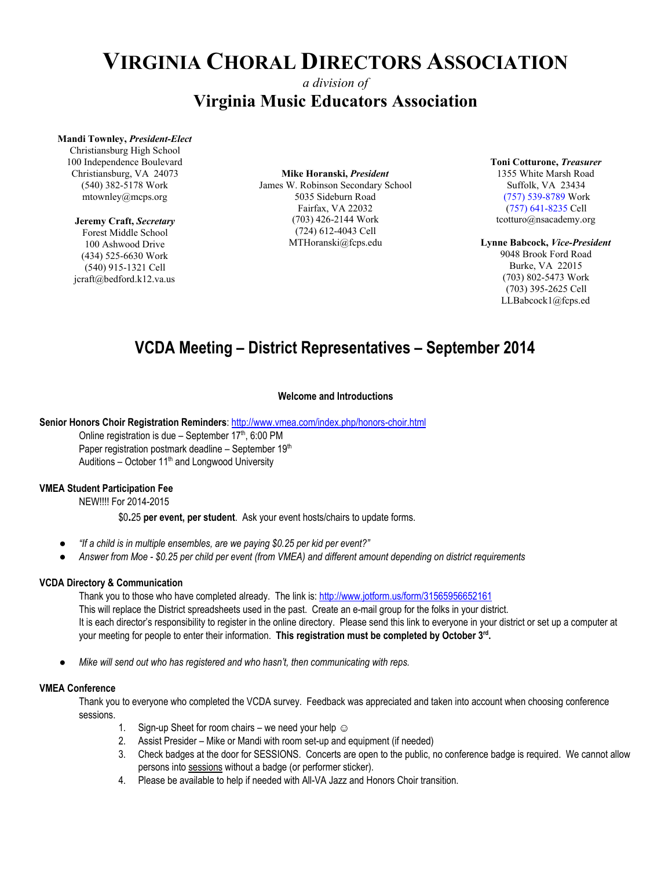# **VIRGINIA CHORAL DIRECTORS ASSOCIATION**

### *a division of* **Virginia Music Educators Association**

#### **Mandi Townley,** *President-Elect*

Christiansburg High School 100 Independence Boulevard Christiansburg, VA 24073 (540) 382-5178 Work mtownley@mcps.org

#### **Jeremy Craft,** *Secretary*

Forest Middle School 100 Ashwood Drive (434) 525-6630 Work (540) 915-1321 Cell jcraft@bedford.k12.va.us

**Mike Horanski,** *President* James W. Robinson Secondary School 5035 Sideburn Road Fairfax, VA 22032 (703) 426-2144 Work (724) 612-4043 Cell MTHoranski@fcps.edu

**Toni Cotturone,** *Treasurer* 1355 White Marsh Road Suffolk, VA 23434 (757) 539-8789 Work (757) 641-8235 Cell tcotturo@nsacademy.org

#### **Lynne Babcock,** *Vice-President*

9048 Brook Ford Road Burke, VA 22015 (703) 802-5473 Work (703) 395-2625 Cell LLBabcock1@fcps.ed

### **VCDA Meeting – District Representatives – September 2014**

#### **Welcome and Introductions**

**Senior Honors Choir Registration Reminders**:<http://www.vmea.com/index.php/honors-choir.html>

Online registration is due - September  $17<sup>th</sup>$ , 6:00 PM Paper registration postmark deadline – September  $19<sup>th</sup>$ Auditions – October  $11<sup>th</sup>$  and Longwood University

#### **VMEA Student Participation Fee**

NEW!!!! For 2014-2015

\$0**.**25 **per event, per student**. Ask your event hosts/chairs to update forms.

- *● "If a child is in multiple ensembles, are we paying \$0.25 per kid per event?"*
- *● Answer from Moe \$0.25 per child per event (from VMEA) and different amount depending on district requirements*

#### **VCDA Directory & Communication**

Thank you to those who have completed already. The link is:<http://www.jotform.us/form/31565956652161> This will replace the District spreadsheets used in the past. Create an e-mail group for the folks in your district. It is each director's responsibility to register in the online directory. Please send this link to everyone in your district or set up a computer at your meeting for people to enter their information. **This registration must be completed by October 3 rd .**

*Mike will send out who has registered and who hasn't, then communicating with reps.* 

#### **VMEA Conference**

Thank you to everyone who completed the VCDA survey. Feedback was appreciated and taken into account when choosing conference sessions.

- 1. Sign-up Sheet for room chairs we need your help  $\odot$
- 2. Assist Presider Mike or Mandi with room set-up and equipment (if needed)
- 3. Check badges at the door for SESSIONS. Concerts are open to the public, no conference badge is required. We cannot allow persons into sessions without a badge (or performer sticker).
- 4. Please be available to help if needed with All-VA Jazz and Honors Choir transition.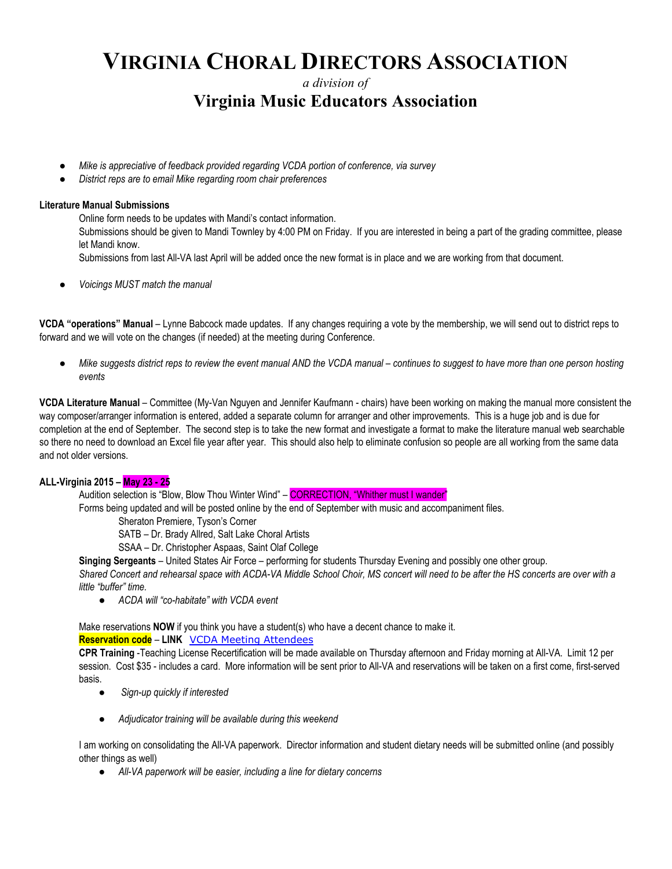# **VIRGINIA CHORAL DIRECTORS ASSOCIATION**

*a division of* **Virginia Music Educators Association**

- Mike is appreciative of feedback provided regarding VCDA portion of conference, via survey
- *District reps are to email Mike regarding room chair preferences*

#### **Literature Manual Submissions**

Online form needs to be updates with Mandi's contact information. Submissions should be given to Mandi Townley by 4:00 PM on Friday. If you are interested in being a part of the grading committee, please let Mandi know. Submissions from last All-VA last April will be added once the new format is in place and we are working from that document.

● *Voicings MUST match the manual*

**VCDA "operations" Manual** – Lynne Babcock made updates. If any changes requiring a vote by the membership, we will send out to district reps to forward and we will vote on the changes (if needed) at the meeting during Conference.

● *Mike suggests district reps to review the event manual AND the VCDA manual* – *continues to suggest to have more than one person hosting events*

**VCDA Literature Manual** – Committee (My-Van Nguyen and Jennifer Kaufmann - chairs) have been working on making the manual more consistent the way composer/arranger information is entered, added a separate column for arranger and other improvements. This is a huge job and is due for completion at the end of September. The second step is to take the new format and investigate a format to make the literature manual web searchable so there no need to download an Excel file year after year. This should also help to eliminate confusion so people are all working from the same data and not older versions.

#### **ALL-Virginia 2015 – May 23 - 25**

Audition selection is "Blow, Blow Thou Winter Wind" – CORRECTION, "Whither must I wander"

Forms being updated and will be posted online by the end of September with music and accompaniment files.

Sheraton Premiere, Tyson's Corner

SATB – Dr. Brady Allred, Salt Lake Choral Artists

SSAA – Dr. Christopher Aspaas, Saint Olaf College

**Singing Sergeants** – United States Air Force – performing for students Thursday Evening and possibly one other group.

*Shared Concert and rehearsal space with ACDA-VA Middle School Choir, MS concert will need to be after the HS concerts are over with a little "buffer" time.*

*● ACDA will "co-habitate" with VCDA event*

Make reservations **NOW** if you think you have a student(s) who have a decent chance to make it.

#### **Reservation code** – **LINK** [VCDA Meeting Attendees](https://www.starwoodmeeting.com/StarGroupsWeb/res?id=1409051937&key=22915BB7)

**CPR Training** -Teaching License Recertification will be made available on Thursday afternoon and Friday morning at All-VA. Limit 12 per session. Cost \$35 - includes a card. More information will be sent prior to All-VA and reservations will be taken on a first come, first-served basis.

- ● *Sign-up quickly if interested*
- *Adjudicator training will be available during this weekend*

I am working on consolidating the All-VA paperwork. Director information and student dietary needs will be submitted online (and possibly other things as well)

● *All-VA paperwork will be easier, including a line for dietary concerns*